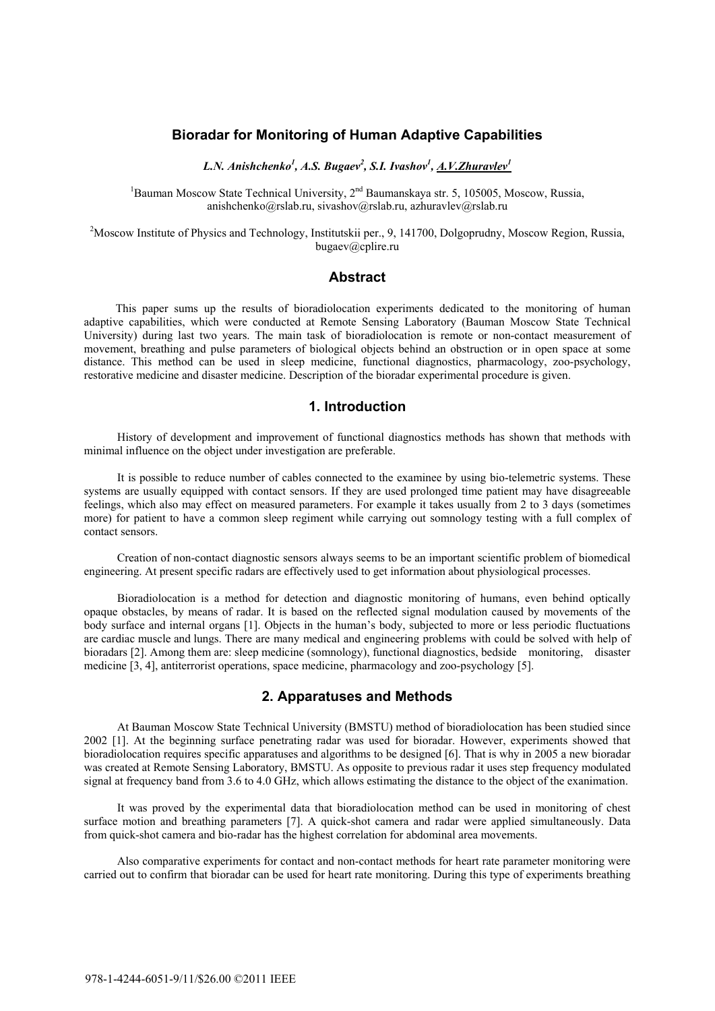# **Bioradar for Monitoring of Human Adaptive Capabilities**

L.N. Anishchenko<sup>1</sup>, A.S. Bugaev<sup>2</sup>, S.I. Ivashov<sup>1</sup>, <u>A.V.Zhuravlev</u><sup>1</sup>

<sup>1</sup>Bauman Moscow State Technical University, 2<sup>nd</sup> Baumanskaya str. 5, 105005, Moscow, Russia, anishchenko@rslab.ru, sivashov@rslab.ru, azhuravlev@rslab.ru

<sup>2</sup>Moscow Institute of Physics and Technology, Institutskii per., 9, 141700, Dolgoprudny, Moscow Region, Russia, bugaev@cplire.ru

### **Abstract**

 This paper sums up the results of bioradiolocation experiments dedicated to the monitoring of human adaptive capabilities, which were conducted at Remote Sensing Laboratory (Bauman Moscow State Technical University) during last two years. The main task of bioradiolocation is remote or non-contact measurement of movement, breathing and pulse parameters of biological objects behind an obstruction or in open space at some distance. This method can be used in sleep medicine, functional diagnostics, pharmacology, zoo-psychology, restorative medicine and disaster medicine. Description of the bioradar experimental procedure is given.

### **1. Introduction**

 History of development and improvement of functional diagnostics methods has shown that methods with minimal influence on the object under investigation are preferable.

 It is possible to reduce number of cables connected to the examinee by using bio-telemetric systems. These systems are usually equipped with contact sensors. If they are used prolonged time patient may have disagreeable feelings, which also may effect on measured parameters. For example it takes usually from 2 to 3 days (sometimes more) for patient to have a common sleep regiment while carrying out somnology testing with a full complex of contact sensors.

 Creation of non-contact diagnostic sensors always seems to be an important scientific problem of biomedical engineering. At present specific radars are effectively used to get information about physiological processes.

 Bioradiolocation is a method for detection and diagnostic monitoring of humans, even behind optically opaque obstacles, by means of radar. It is based on the reflected signal modulation caused by movements of the body surface and internal organs [1]. Objects in the human's body, subjected to more or less periodic fluctuations are cardiac muscle and lungs. There are many medical and engineering problems with could be solved with help of bioradars [2]. Among them are: sleep medicine (somnology), functional diagnostics, bedside monitoring, disaster medicine [3, 4], antiterrorist operations, space medicine, pharmacology and zoo-psychology [5].

# **2. Apparatuses and Methods**

 At Bauman Moscow State Technical University (BMSTU) method of bioradiolocation has been studied since 2002 [1]. At the beginning surface penetrating radar was used for bioradar. However, experiments showed that bioradiolocation requires specific apparatuses and algorithms to be designed [6]. That is why in 2005 a new bioradar was created at Remote Sensing Laboratory, BMSTU. As opposite to previous radar it uses step frequency modulated signal at frequency band from 3.6 to 4.0 GHz, which allows estimating the distance to the object of the exanimation.

 It was proved by the experimental data that bioradiolocation method can be used in monitoring of chest surface motion and breathing parameters [7]. A quick-shot camera and radar were applied simultaneously. Data from quick-shot camera and bio-radar has the highest correlation for abdominal area movements.

 Also comparative experiments for contact and non-contact methods for heart rate parameter monitoring were carried out to confirm that bioradar can be used for heart rate monitoring. During this type of experiments breathing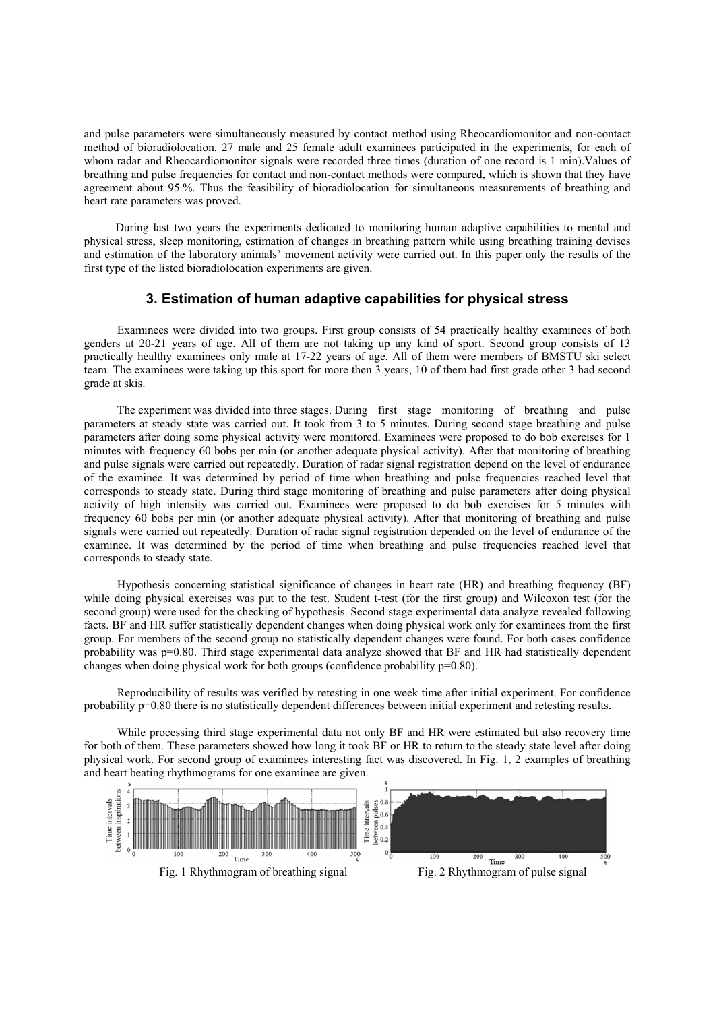and pulse parameters were simultaneously measured by contact method using Rheocardiomonitor and non-contact method of bioradiolocation. 27 male and 25 female adult examinees participated in the experiments, for each of whom radar and Rheocardiomonitor signals were recorded three times (duration of one record is 1 min).Values of breathing and pulse frequencies for contact and non-contact methods were compared, which is shown that they have agreement about 95 %. Thus the feasibility of bioradiolocation for simultaneous measurements of breathing and heart rate parameters was proved.

 During last two years the experiments dedicated to monitoring human adaptive capabilities to mental and physical stress, sleep monitoring, estimation of changes in breathing pattern while using breathing training devises and estimation of the laboratory animals' movement activity were carried out. In this paper only the results of the first type of the listed bioradiolocation experiments are given.

### **3. Estimation of human adaptive capabilities for physical stress**

 Examinees were divided into two groups. First group consists of 54 practically healthy examinees of both genders at 20-21 years of age. All of them are not taking up any kind of sport. Second group consists of 13 practically healthy examinees only male at 17-22 years of age. All of them were members of BMSTU ski select team. The examinees were taking up this sport for more then 3 years, 10 of them had first grade other 3 had second grade at skis.

 The experiment was divided into three stages. During first stage monitoring of breathing and pulse parameters at steady state was carried out. It took from 3 to 5 minutes. During second stage breathing and pulse parameters after doing some physical activity were monitored. Examinees were proposed to do bob exercises for 1 minutes with frequency 60 bobs per min (or another adequate physical activity). After that monitoring of breathing and pulse signals were carried out repeatedly. Duration of radar signal registration depend on the level of endurance of the examinee. It was determined by period of time when breathing and pulse frequencies reached level that corresponds to steady state. During third stage monitoring of breathing and pulse parameters after doing physical activity of high intensity was carried out. Examinees were proposed to do bob exercises for 5 minutes with frequency 60 bobs per min (or another adequate physical activity). After that monitoring of breathing and pulse signals were carried out repeatedly. Duration of radar signal registration depended on the level of endurance of the examinee. It was determined by the period of time when breathing and pulse frequencies reached level that corresponds to steady state.

 Hypothesis concerning statistical significance of changes in heart rate (HR) and breathing frequency (BF) while doing physical exercises was put to the test. Student t-test (for the first group) and Wilcoxon test (for the second group) were used for the checking of hypothesis. Second stage experimental data analyze revealed following facts. BF and HR suffer statistically dependent changes when doing physical work only for examinees from the first group. For members of the second group no statistically dependent changes were found. For both cases confidence probability was p=0.80. Third stage experimental data analyze showed that BF and HR had statistically dependent changes when doing physical work for both groups (confidence probability p=0.80).

 Reproducibility of results was verified by retesting in one week time after initial experiment. For confidence probability p=0.80 there is no statistically dependent differences between initial experiment and retesting results.

 While processing third stage experimental data not only BF and HR were estimated but also recovery time for both of them. These parameters showed how long it took BF or HR to return to the steady state level after doing physical work. For second group of examinees interesting fact was discovered. In Fig. 1, 2 examples of breathing and heart beating rhythmograms for one examinee are given.

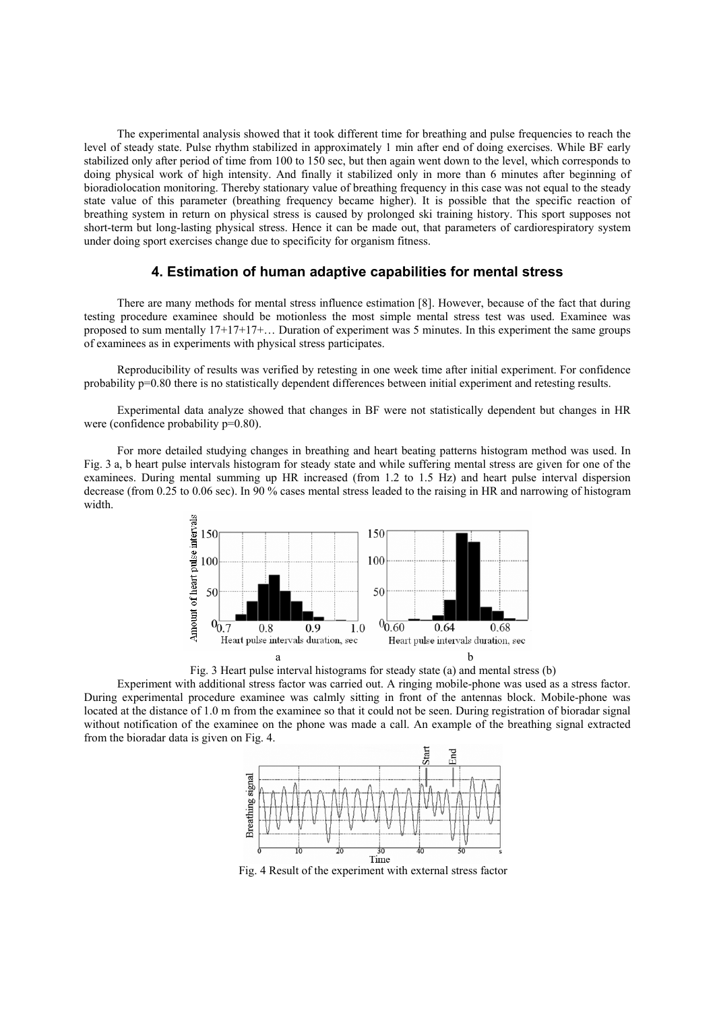The experimental analysis showed that it took different time for breathing and pulse frequencies to reach the level of steady state. Pulse rhythm stabilized in approximately 1 min after end of doing exercises. While BF early stabilized only after period of time from 100 to 150 sec, but then again went down to the level, which corresponds to doing physical work of high intensity. And finally it stabilized only in more than 6 minutes after beginning of bioradiolocation monitoring. Thereby stationary value of breathing frequency in this case was not equal to the steady state value of this parameter (breathing frequency became higher). It is possible that the specific reaction of breathing system in return on physical stress is caused by prolonged ski training history. This sport supposes not short-term but long-lasting physical stress. Hence it can be made out, that parameters of cardiorespiratory system under doing sport exercises change due to specificity for organism fitness.

### **4. Estimation of human adaptive capabilities for mental stress**

 There are many methods for mental stress influence estimation [8]. However, because of the fact that during testing procedure examinee should be motionless the most simple mental stress test was used. Examinee was proposed to sum mentally 17+17+17+… Duration of experiment was 5 minutes. In this experiment the same groups of examinees as in experiments with physical stress participates.

 Reproducibility of results was verified by retesting in one week time after initial experiment. For confidence probability p=0.80 there is no statistically dependent differences between initial experiment and retesting results.

 Experimental data analyze showed that changes in BF were not statistically dependent but changes in HR were (confidence probability p=0.80).

 For more detailed studying changes in breathing and heart beating patterns histogram method was used. In Fig. 3 a, b heart pulse intervals histogram for steady state and while suffering mental stress are given for one of the examinees. During mental summing up HR increased (from 1.2 to 1.5 Hz) and heart pulse interval dispersion decrease (from 0.25 to 0.06 sec). In 90 % cases mental stress leaded to the raising in HR and narrowing of histogram width.



Fig. 3 Heart pulse interval histograms for steady state (a) and mental stress (b)

 Experiment with additional stress factor was carried out. A ringing mobile-phone was used as a stress factor. During experimental procedure examinee was calmly sitting in front of the antennas block. Mobile-phone was located at the distance of 1.0 m from the examinee so that it could not be seen. During registration of bioradar signal without notification of the examinee on the phone was made a call. An example of the breathing signal extracted from the bioradar data is given on Fig. 4.



Fig. 4 Result of the experiment with external stress factor